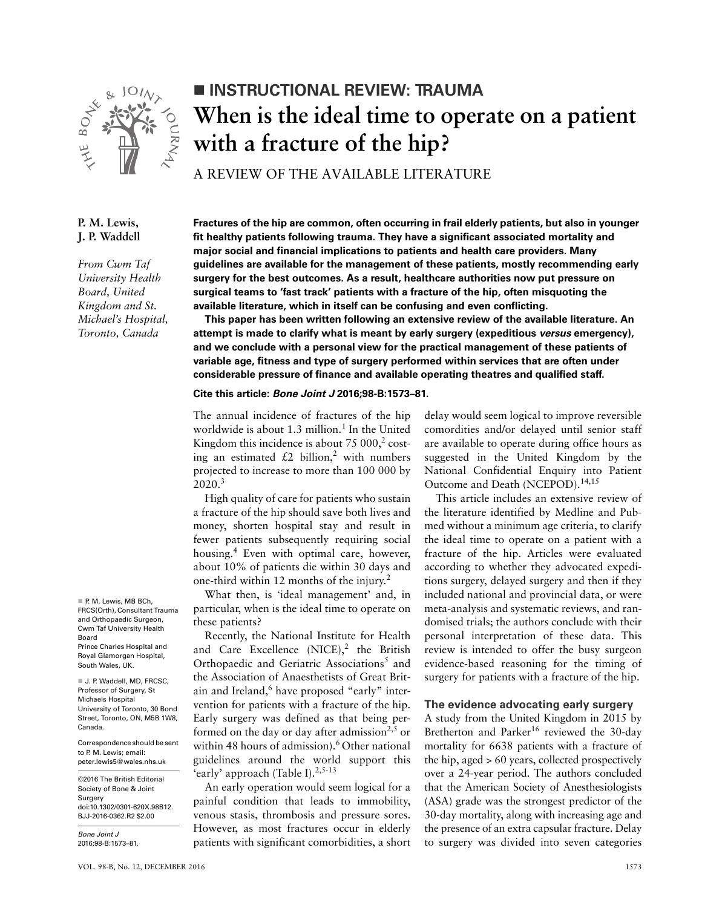

# **INSTRUCTIONAL REVIEW: TRAUMA When is the ideal time to operate on a patient with a fracture of the hip?**

A REVIEW OF THE AVAILABLE LITERATURE

# **P. M. Lewis, J. P. Waddell**

*From Cwm Taf University Health Board, United Kingdom and St. Michael's Hospital, Toronto, Canada*

P. M. Lewis, MB BCh, FRCS(Orth), Consultant Trauma and Orthopaedic Surgeon, Cwm Taf University Health Board Prince Charles Hospital and Royal Glamorgan Hospital, South Wales, UK.

J. P. Waddell, MD, FRCSC, Professor of Surgery, St Michaels Hospital University of Toronto, 30 Bond Street, Toronto, ON, M5B 1W8, Canada.

Correspondence should be sent to P. M. Lewis; email: peter.lewis5@wales.nhs.uk

©2016 The British Editorial Society of Bone & Joint Surgery doi:10.1302/0301-620X.98B12. BJJ-2016-0362.R2 \$2.00

*Bone Joint J* 2016;98-B:1573–81. **Fractures of the hip are common, often occurring in frail elderly patients, but also in younger fit healthy patients following trauma. They have a significant associated mortality and major social and financial implications to patients and health care providers. Many guidelines are available for the management of these patients, mostly recommending early surgery for the best outcomes. As a result, healthcare authorities now put pressure on surgical teams to 'fast track' patients with a fracture of the hip, often misquoting the available literature, which in itself can be confusing and even conflicting.**

**This paper has been written following an extensive review of the available literature. An attempt is made to clarify what is meant by early surgery (expeditious** *versus* **emergency), and we conclude with a personal view for the practical management of these patients of variable age, fitness and type of surgery performed within services that are often under considerable pressure of finance and available operating theatres and qualified staff.**

### **Cite this article:** *Bone Joint J* **2016;98-B:1573–81.**

The annual incidence of fractures of the hip worldwide is about 1.3 million.<sup>1</sup> In the United Kingdom this incidence is about  $75000$ <sup>2</sup> costing an estimated £2 billion,<sup>2</sup> with numbers projected to increase to more than 100 000 by 2020.<sup>3</sup>

High quality of care for patients who sustain a fracture of the hip should save both lives and money, shorten hospital stay and result in fewer patients subsequently requiring social housing.<sup>4</sup> Even with optimal care, however, about 10% of patients die within 30 days and one-third within 12 months of the injury.<sup>2</sup>

What then, is 'ideal management' and, in particular, when is the ideal time to operate on these patients?

Recently, the National Institute for Health and Care Excellence  $(NICE)$ ,<sup>2</sup> the British Orthopaedic and Geriatric Associations<sup>5</sup> and the Association of Anaesthetists of Great Britain and Ireland,<sup>6</sup> have proposed "early" intervention for patients with a fracture of the hip. Early surgery was defined as that being performed on the day or day after admission<sup>2,5</sup> or within 48 hours of admission).<sup>6</sup> Other national guidelines around the world support this 'early' approach (Table I).<sup>2,5-13</sup>

An early operation would seem logical for a painful condition that leads to immobility, venous stasis, thrombosis and pressure sores. However, as most fractures occur in elderly patients with significant comorbidities, a short delay would seem logical to improve reversible comordities and/or delayed until senior staff are available to operate during office hours as suggested in the United Kingdom by the National Confidential Enquiry into Patient Outcome and Death (NCEPOD).<sup>14,15</sup>

This article includes an extensive review of the literature identified by Medline and Pubmed without a minimum age criteria, to clarify the ideal time to operate on a patient with a fracture of the hip. Articles were evaluated according to whether they advocated expeditions surgery, delayed surgery and then if they included national and provincial data, or were meta-analysis and systematic reviews, and randomised trials; the authors conclude with their personal interpretation of these data. This review is intended to offer the busy surgeon evidence-based reasoning for the timing of surgery for patients with a fracture of the hip.

#### **The evidence advocating early surgery**

A study from the United Kingdom in 2015 by Bretherton and Parker<sup>16</sup> reviewed the 30-day mortality for 6638 patients with a fracture of the hip, aged > 60 years, collected prospectively over a 24-year period. The authors concluded that the American Society of Anesthesiologists (ASA) grade was the strongest predictor of the 30-day mortality, along with increasing age and the presence of an extra capsular fracture. Delay to surgery was divided into seven categories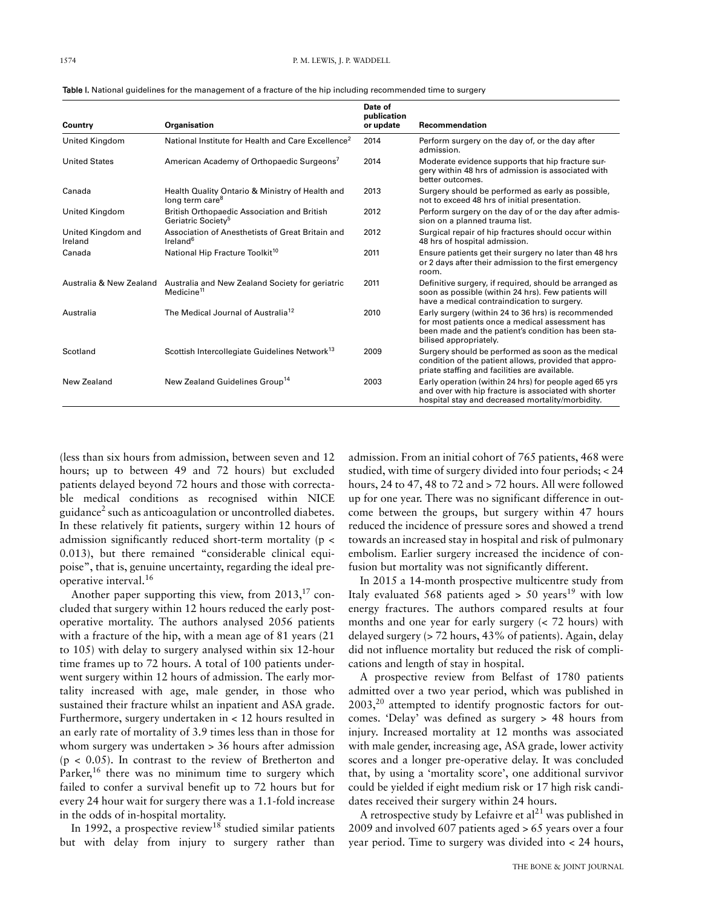| Country                       | Organisation                                                                         | Date of<br>publication<br>or update | Recommendation                                                                                                                                                                         |  |
|-------------------------------|--------------------------------------------------------------------------------------|-------------------------------------|----------------------------------------------------------------------------------------------------------------------------------------------------------------------------------------|--|
| United Kingdom                | National Institute for Health and Care Excellence <sup>2</sup>                       | 2014                                | Perform surgery on the day of, or the day after<br>admission.                                                                                                                          |  |
| <b>United States</b>          | American Academy of Orthopaedic Surgeons <sup>7</sup>                                | 2014                                | Moderate evidence supports that hip fracture sur-<br>gery within 48 hrs of admission is associated with<br>better outcomes.                                                            |  |
| Canada                        | Health Quality Ontario & Ministry of Health and<br>long term care <sup>8</sup>       | 2013                                | Surgery should be performed as early as possible,<br>not to exceed 48 hrs of initial presentation.                                                                                     |  |
| United Kingdom                | <b>British Orthopaedic Association and British</b><br>Geriatric Society <sup>5</sup> | 2012                                | Perform surgery on the day of or the day after admis-<br>sion on a planned trauma list.                                                                                                |  |
| United Kingdom and<br>Ireland | Association of Anesthetists of Great Britain and<br>Ireland <sup>6</sup>             | 2012                                | Surgical repair of hip fractures should occur within<br>48 hrs of hospital admission.                                                                                                  |  |
| Canada                        | National Hip Fracture Toolkit <sup>10</sup>                                          | 2011                                | Ensure patients get their surgery no later than 48 hrs<br>or 2 days after their admission to the first emergency<br>room.                                                              |  |
| Australia & New Zealand       | Australia and New Zealand Society for geriatric<br>Medicine <sup>11</sup>            | 2011                                | Definitive surgery, if required, should be arranged as<br>soon as possible (within 24 hrs). Few patients will<br>have a medical contraindication to surgery.                           |  |
| Australia                     | The Medical Journal of Australia <sup>12</sup>                                       | 2010                                | Early surgery (within 24 to 36 hrs) is recommended<br>for most patients once a medical assessment has<br>been made and the patient's condition has been sta-<br>bilised appropriately. |  |
| Scotland                      | Scottish Intercollegiate Guidelines Network <sup>13</sup>                            | 2009                                | Surgery should be performed as soon as the medical<br>condition of the patient allows, provided that appro-<br>priate staffing and facilities are available.                           |  |
| New Zealand                   | New Zealand Guidelines Group <sup>14</sup>                                           | 2003                                | Early operation (within 24 hrs) for people aged 65 yrs<br>and over with hip fracture is associated with shorter<br>hospital stay and decreased mortality/morbidity.                    |  |

Table I. National guidelines for the management of a fracture of the hip including recommended time to surgery

(less than six hours from admission, between seven and 12 hours; up to between 49 and 72 hours) but excluded patients delayed beyond 72 hours and those with correctable medical conditions as recognised within NICE guidance<sup>2</sup> such as anticoagulation or uncontrolled diabetes. In these relatively fit patients, surgery within 12 hours of admission significantly reduced short-term mortality (p < 0.013), but there remained "considerable clinical equipoise", that is, genuine uncertainty, regarding the ideal preoperative interval.<sup>16</sup>

Another paper supporting this view, from  $2013$ ,<sup>17</sup> concluded that surgery within 12 hours reduced the early postoperative mortality. The authors analysed 2056 patients with a fracture of the hip, with a mean age of 81 years (21 to 105) with delay to surgery analysed within six 12-hour time frames up to 72 hours. A total of 100 patients underwent surgery within 12 hours of admission. The early mortality increased with age, male gender, in those who sustained their fracture whilst an inpatient and ASA grade. Furthermore, surgery undertaken in < 12 hours resulted in an early rate of mortality of 3.9 times less than in those for whom surgery was undertaken > 36 hours after admission  $(p < 0.05)$ . In contrast to the review of Bretherton and Parker,<sup>16</sup> there was no minimum time to surgery which failed to confer a survival benefit up to 72 hours but for every 24 hour wait for surgery there was a 1.1-fold increase in the odds of in-hospital mortality.

In 1992, a prospective review<sup>18</sup> studied similar patients but with delay from injury to surgery rather than

admission. From an initial cohort of 765 patients, 468 were studied, with time of surgery divided into four periods; < 24 hours, 24 to 47, 48 to 72 and > 72 hours. All were followed up for one year. There was no significant difference in outcome between the groups, but surgery within 47 hours reduced the incidence of pressure sores and showed a trend towards an increased stay in hospital and risk of pulmonary embolism. Earlier surgery increased the incidence of confusion but mortality was not significantly different.

In 2015 a 14-month prospective multicentre study from Italy evaluated 568 patients aged  $> 50$  years<sup>19</sup> with low energy fractures. The authors compared results at four months and one year for early surgery (< 72 hours) with delayed surgery (> 72 hours, 43% of patients). Again, delay did not influence mortality but reduced the risk of complications and length of stay in hospital.

A prospective review from Belfast of 1780 patients admitted over a two year period, which was published in  $2003$ <sup>20</sup> attempted to identify prognostic factors for outcomes. 'Delay' was defined as surgery > 48 hours from injury. Increased mortality at 12 months was associated with male gender, increasing age, ASA grade, lower activity scores and a longer pre-operative delay. It was concluded that, by using a 'mortality score', one additional survivor could be yielded if eight medium risk or 17 high risk candidates received their surgery within 24 hours.

A retrospective study by Lefaivre et  $al^{21}$  was published in 2009 and involved 607 patients aged > 65 years over a four year period. Time to surgery was divided into < 24 hours,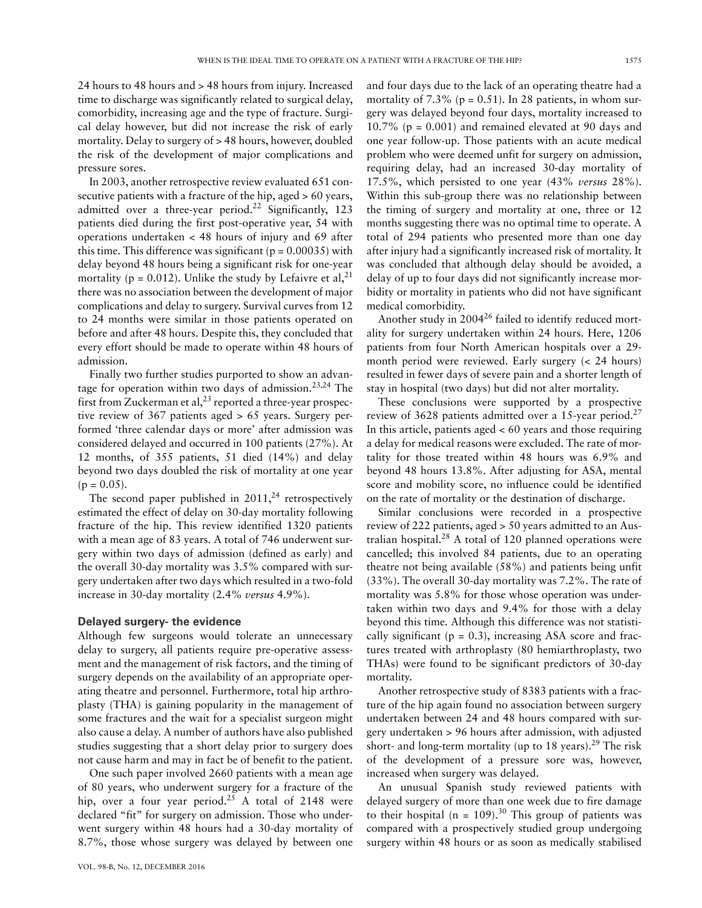24 hours to 48 hours and > 48 hours from injury. Increased time to discharge was significantly related to surgical delay, comorbidity, increasing age and the type of fracture. Surgical delay however, but did not increase the risk of early mortality. Delay to surgery of > 48 hours, however, doubled the risk of the development of major complications and pressure sores.

In 2003, another retrospective review evaluated 651 consecutive patients with a fracture of the hip, aged > 60 years, admitted over a three-year period.<sup>22</sup> Significantly, 123 patients died during the first post-operative year, 54 with operations undertaken < 48 hours of injury and 69 after this time. This difference was significant ( $p = 0.00035$ ) with delay beyond 48 hours being a significant risk for one-year mortality ( $p = 0.012$ ). Unlike the study by Lefaivre et al,<sup>21</sup> there was no association between the development of major complications and delay to surgery. Survival curves from 12 to 24 months were similar in those patients operated on before and after 48 hours. Despite this, they concluded that every effort should be made to operate within 48 hours of admission.

Finally two further studies purported to show an advantage for operation within two days of admission.<sup>23,24</sup> The first from Zuckerman et al,  $2<sup>3</sup>$  reported a three-year prospective review of 367 patients aged > 65 years. Surgery performed 'three calendar days or more' after admission was considered delayed and occurred in 100 patients (27%). At 12 months, of 355 patients, 51 died (14%) and delay beyond two days doubled the risk of mortality at one year  $(p = 0.05)$ .

The second paper published in  $2011<sub>1</sub><sup>24</sup>$  retrospectively estimated the effect of delay on 30-day mortality following fracture of the hip. This review identified 1320 patients with a mean age of 83 years. A total of 746 underwent surgery within two days of admission (defined as early) and the overall 30-day mortality was 3.5% compared with surgery undertaken after two days which resulted in a two-fold increase in 30-day mortality (2.4% *versus* 4.9%).

### **Delayed surgery- the evidence**

Although few surgeons would tolerate an unnecessary delay to surgery, all patients require pre-operative assessment and the management of risk factors, and the timing of surgery depends on the availability of an appropriate operating theatre and personnel. Furthermore, total hip arthroplasty (THA) is gaining popularity in the management of some fractures and the wait for a specialist surgeon might also cause a delay. A number of authors have also published studies suggesting that a short delay prior to surgery does not cause harm and may in fact be of benefit to the patient.

One such paper involved 2660 patients with a mean age of 80 years, who underwent surgery for a fracture of the hip, over a four year period.<sup>25</sup> A total of 2148 were declared "fit" for surgery on admission. Those who underwent surgery within 48 hours had a 30-day mortality of 8.7%, those whose surgery was delayed by between one

and four days due to the lack of an operating theatre had a mortality of  $7.3\%$  (p = 0.51). In 28 patients, in whom surgery was delayed beyond four days, mortality increased to 10.7% ( $p = 0.001$ ) and remained elevated at 90 days and one year follow-up. Those patients with an acute medical problem who were deemed unfit for surgery on admission, requiring delay, had an increased 30-day mortality of 17.5%, which persisted to one year (43% *versus* 28%). Within this sub-group there was no relationship between the timing of surgery and mortality at one, three or 12 months suggesting there was no optimal time to operate. A total of 294 patients who presented more than one day after injury had a significantly increased risk of mortality. It was concluded that although delay should be avoided, a delay of up to four days did not significantly increase morbidity or mortality in patients who did not have significant medical comorbidity.

Another study in  $2004^{26}$  failed to identify reduced mortality for surgery undertaken within 24 hours. Here, 1206 patients from four North American hospitals over a 29 month period were reviewed. Early surgery (< 24 hours) resulted in fewer days of severe pain and a shorter length of stay in hospital (two days) but did not alter mortality.

These conclusions were supported by a prospective review of 3628 patients admitted over a 15-year period.<sup>27</sup> In this article, patients aged < 60 years and those requiring a delay for medical reasons were excluded. The rate of mortality for those treated within 48 hours was 6.9% and beyond 48 hours 13.8%. After adjusting for ASA, mental score and mobility score, no influence could be identified on the rate of mortality or the destination of discharge.

Similar conclusions were recorded in a prospective review of 222 patients, aged > 50 years admitted to an Australian hospital. $^{28}$  A total of 120 planned operations were cancelled; this involved 84 patients, due to an operating theatre not being available (58%) and patients being unfit (33%). The overall 30-day mortality was 7.2%. The rate of mortality was 5.8% for those whose operation was undertaken within two days and 9.4% for those with a delay beyond this time. Although this difference was not statistically significant ( $p = 0.3$ ), increasing ASA score and fractures treated with arthroplasty (80 hemiarthroplasty, two THAs) were found to be significant predictors of 30-day mortality.

Another retrospective study of 8383 patients with a fracture of the hip again found no association between surgery undertaken between 24 and 48 hours compared with surgery undertaken > 96 hours after admission, with adjusted short- and long-term mortality (up to 18 years).<sup>29</sup> The risk of the development of a pressure sore was, however, increased when surgery was delayed.

An unusual Spanish study reviewed patients with delayed surgery of more than one week due to fire damage to their hospital (n = 109).<sup>30</sup> This group of patients was compared with a prospectively studied group undergoing surgery within 48 hours or as soon as medically stabilised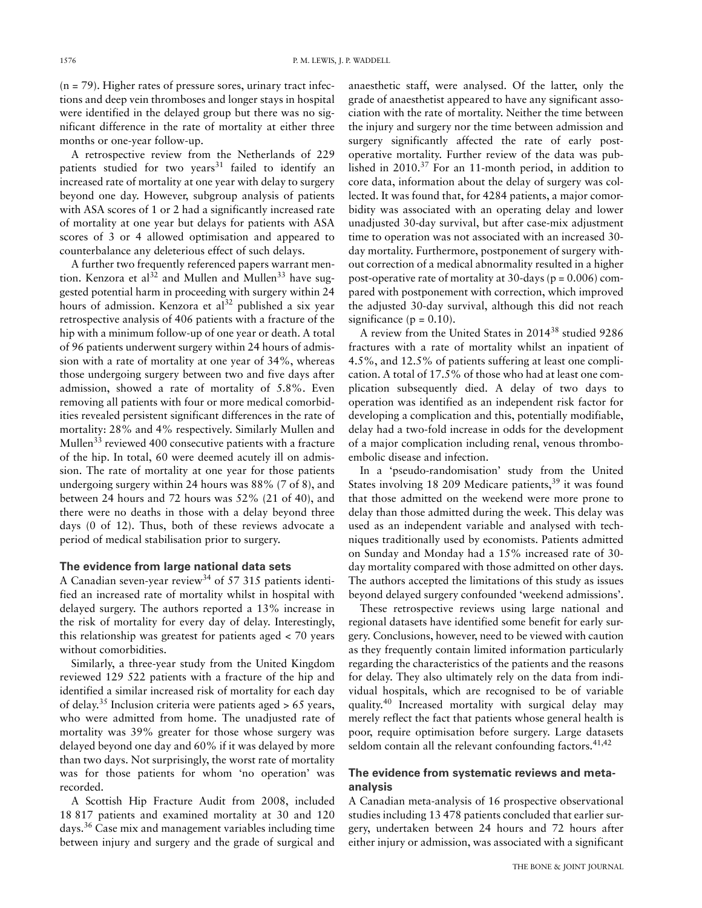$(n = 79)$ . Higher rates of pressure sores, urinary tract infections and deep vein thromboses and longer stays in hospital were identified in the delayed group but there was no significant difference in the rate of mortality at either three months or one-year follow-up.

A retrospective review from the Netherlands of 229 patients studied for two years<sup>31</sup> failed to identify an increased rate of mortality at one year with delay to surgery beyond one day. However, subgroup analysis of patients with ASA scores of 1 or 2 had a significantly increased rate of mortality at one year but delays for patients with ASA scores of 3 or 4 allowed optimisation and appeared to counterbalance any deleterious effect of such delays.

A further two frequently referenced papers warrant mention. Kenzora et al<sup>32</sup> and Mullen and Mullen<sup>33</sup> have suggested potential harm in proceeding with surgery within 24 hours of admission. Kenzora et  $al^{32}$  published a six year retrospective analysis of 406 patients with a fracture of the hip with a minimum follow-up of one year or death. A total of 96 patients underwent surgery within 24 hours of admission with a rate of mortality at one year of 34%, whereas those undergoing surgery between two and five days after admission, showed a rate of mortality of 5.8%. Even removing all patients with four or more medical comorbidities revealed persistent significant differences in the rate of mortality: 28% and 4% respectively. Similarly Mullen and Mullen<sup>33</sup> reviewed 400 consecutive patients with a fracture of the hip. In total, 60 were deemed acutely ill on admission. The rate of mortality at one year for those patients undergoing surgery within 24 hours was 88% (7 of 8), and between 24 hours and 72 hours was 52% (21 of 40), and there were no deaths in those with a delay beyond three days (0 of 12). Thus, both of these reviews advocate a period of medical stabilisation prior to surgery.

# **The evidence from large national data sets**

A Canadian seven-year review<sup>34</sup> of 57 315 patients identified an increased rate of mortality whilst in hospital with delayed surgery. The authors reported a 13% increase in the risk of mortality for every day of delay. Interestingly, this relationship was greatest for patients aged < 70 years without comorbidities.

Similarly, a three-year study from the United Kingdom reviewed 129 522 patients with a fracture of the hip and identified a similar increased risk of mortality for each day of delay.<sup>35</sup> Inclusion criteria were patients aged  $> 65$  years, who were admitted from home. The unadjusted rate of mortality was 39% greater for those whose surgery was delayed beyond one day and 60% if it was delayed by more than two days. Not surprisingly, the worst rate of mortality was for those patients for whom 'no operation' was recorded.

A Scottish Hip Fracture Audit from 2008, included 18 817 patients and examined mortality at 30 and 120 days.36 Case mix and management variables including time between injury and surgery and the grade of surgical and

anaesthetic staff, were analysed. Of the latter, only the grade of anaesthetist appeared to have any significant association with the rate of mortality. Neither the time between the injury and surgery nor the time between admission and surgery significantly affected the rate of early postoperative mortality. Further review of the data was published in  $2010$ .<sup>37</sup> For an 11-month period, in addition to core data, information about the delay of surgery was collected. It was found that, for 4284 patients, a major comorbidity was associated with an operating delay and lower unadjusted 30-day survival, but after case-mix adjustment time to operation was not associated with an increased 30 day mortality. Furthermore, postponement of surgery without correction of a medical abnormality resulted in a higher post-operative rate of mortality at 30-days ( $p = 0.006$ ) compared with postponement with correction, which improved the adjusted 30-day survival, although this did not reach significance ( $p = 0.10$ ).

A review from the United States in 201438 studied 9286 fractures with a rate of mortality whilst an inpatient of 4.5%, and 12.5% of patients suffering at least one complication. A total of 17.5% of those who had at least one complication subsequently died. A delay of two days to operation was identified as an independent risk factor for developing a complication and this, potentially modifiable, delay had a two-fold increase in odds for the development of a major complication including renal, venous thromboembolic disease and infection.

In a 'pseudo-randomisation' study from the United States involving 18 209 Medicare patients,<sup>39</sup> it was found that those admitted on the weekend were more prone to delay than those admitted during the week. This delay was used as an independent variable and analysed with techniques traditionally used by economists. Patients admitted on Sunday and Monday had a 15% increased rate of 30 day mortality compared with those admitted on other days. The authors accepted the limitations of this study as issues beyond delayed surgery confounded 'weekend admissions'.

These retrospective reviews using large national and regional datasets have identified some benefit for early surgery. Conclusions, however, need to be viewed with caution as they frequently contain limited information particularly regarding the characteristics of the patients and the reasons for delay. They also ultimately rely on the data from individual hospitals, which are recognised to be of variable quality.40 Increased mortality with surgical delay may merely reflect the fact that patients whose general health is poor, require optimisation before surgery. Large datasets seldom contain all the relevant confounding factors. $41,42$ 

# **The evidence from systematic reviews and metaanalysis**

A Canadian meta-analysis of 16 prospective observational studies including 13 478 patients concluded that earlier surgery, undertaken between 24 hours and 72 hours after either injury or admission, was associated with a significant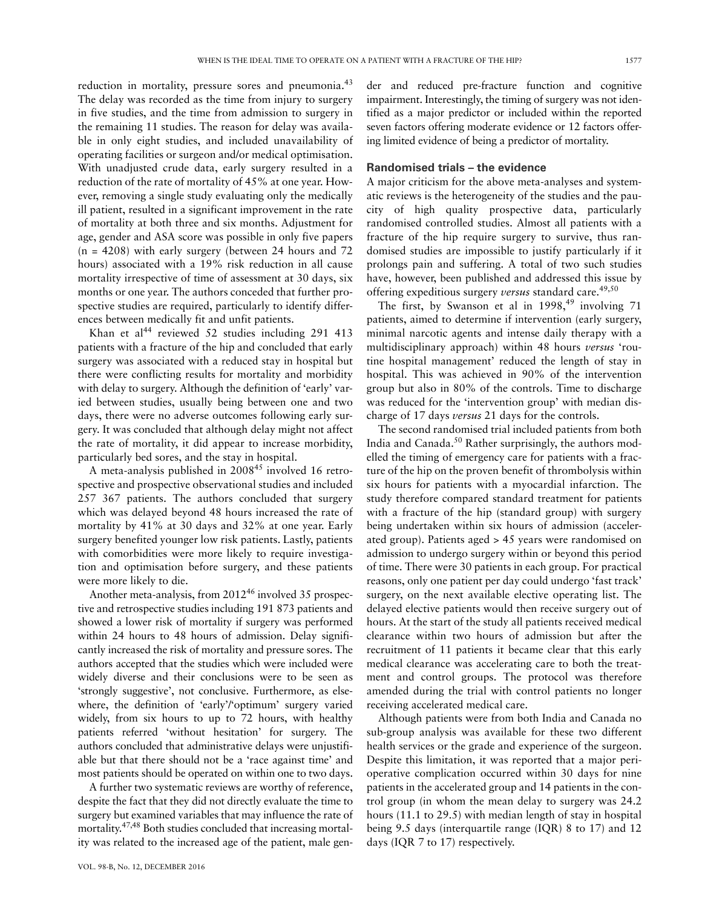reduction in mortality, pressure sores and pneumonia. $43$ The delay was recorded as the time from injury to surgery in five studies, and the time from admission to surgery in the remaining 11 studies. The reason for delay was available in only eight studies, and included unavailability of operating facilities or surgeon and/or medical optimisation. With unadjusted crude data, early surgery resulted in a reduction of the rate of mortality of 45% at one year. However, removing a single study evaluating only the medically ill patient, resulted in a significant improvement in the rate of mortality at both three and six months. Adjustment for age, gender and ASA score was possible in only five papers  $(n = 4208)$  with early surgery (between 24 hours and 72 hours) associated with a 19% risk reduction in all cause mortality irrespective of time of assessment at 30 days, six months or one year. The authors conceded that further prospective studies are required, particularly to identify differences between medically fit and unfit patients.

Khan et al<sup>44</sup> reviewed 52 studies including 291 413 patients with a fracture of the hip and concluded that early surgery was associated with a reduced stay in hospital but there were conflicting results for mortality and morbidity with delay to surgery. Although the definition of 'early' varied between studies, usually being between one and two days, there were no adverse outcomes following early surgery. It was concluded that although delay might not affect the rate of mortality, it did appear to increase morbidity, particularly bed sores, and the stay in hospital.

A meta-analysis published in 2008<sup>45</sup> involved 16 retrospective and prospective observational studies and included 257 367 patients. The authors concluded that surgery which was delayed beyond 48 hours increased the rate of mortality by 41% at 30 days and 32% at one year. Early surgery benefited younger low risk patients. Lastly, patients with comorbidities were more likely to require investigation and optimisation before surgery, and these patients were more likely to die.

Another meta-analysis, from 2012<sup>46</sup> involved 35 prospective and retrospective studies including 191 873 patients and showed a lower risk of mortality if surgery was performed within 24 hours to 48 hours of admission. Delay significantly increased the risk of mortality and pressure sores. The authors accepted that the studies which were included were widely diverse and their conclusions were to be seen as 'strongly suggestive', not conclusive. Furthermore, as elsewhere, the definition of 'early'/'optimum' surgery varied widely, from six hours to up to 72 hours, with healthy patients referred 'without hesitation' for surgery. The authors concluded that administrative delays were unjustifiable but that there should not be a 'race against time' and most patients should be operated on within one to two days.

A further two systematic reviews are worthy of reference, despite the fact that they did not directly evaluate the time to surgery but examined variables that may influence the rate of mortality.47,48 Both studies concluded that increasing mortality was related to the increased age of the patient, male gender and reduced pre-fracture function and cognitive impairment. Interestingly, the timing of surgery was not identified as a major predictor or included within the reported seven factors offering moderate evidence or 12 factors offering limited evidence of being a predictor of mortality.

#### **Randomised trials – the evidence**

A major criticism for the above meta-analyses and systematic reviews is the heterogeneity of the studies and the paucity of high quality prospective data, particularly randomised controlled studies. Almost all patients with a fracture of the hip require surgery to survive, thus randomised studies are impossible to justify particularly if it prolongs pain and suffering. A total of two such studies have, however, been published and addressed this issue by offering expeditious surgery *versus* standard care.<sup>49,50</sup>

The first, by Swanson et al in  $1998,^{49}$  involving 71 patients, aimed to determine if intervention (early surgery, minimal narcotic agents and intense daily therapy with a multidisciplinary approach) within 48 hours *versus* 'routine hospital management' reduced the length of stay in hospital. This was achieved in 90% of the intervention group but also in 80% of the controls. Time to discharge was reduced for the 'intervention group' with median discharge of 17 days *versus* 21 days for the controls.

The second randomised trial included patients from both India and Canada.50 Rather surprisingly, the authors modelled the timing of emergency care for patients with a fracture of the hip on the proven benefit of thrombolysis within six hours for patients with a myocardial infarction. The study therefore compared standard treatment for patients with a fracture of the hip (standard group) with surgery being undertaken within six hours of admission (accelerated group). Patients aged > 45 years were randomised on admission to undergo surgery within or beyond this period of time. There were 30 patients in each group. For practical reasons, only one patient per day could undergo 'fast track' surgery, on the next available elective operating list. The delayed elective patients would then receive surgery out of hours. At the start of the study all patients received medical clearance within two hours of admission but after the recruitment of 11 patients it became clear that this early medical clearance was accelerating care to both the treatment and control groups. The protocol was therefore amended during the trial with control patients no longer receiving accelerated medical care.

Although patients were from both India and Canada no sub-group analysis was available for these two different health services or the grade and experience of the surgeon. Despite this limitation, it was reported that a major perioperative complication occurred within 30 days for nine patients in the accelerated group and 14 patients in the control group (in whom the mean delay to surgery was 24.2 hours (11.1 to 29.5) with median length of stay in hospital being 9.5 days (interquartile range (IQR) 8 to 17) and 12 days (IQR 7 to 17) respectively.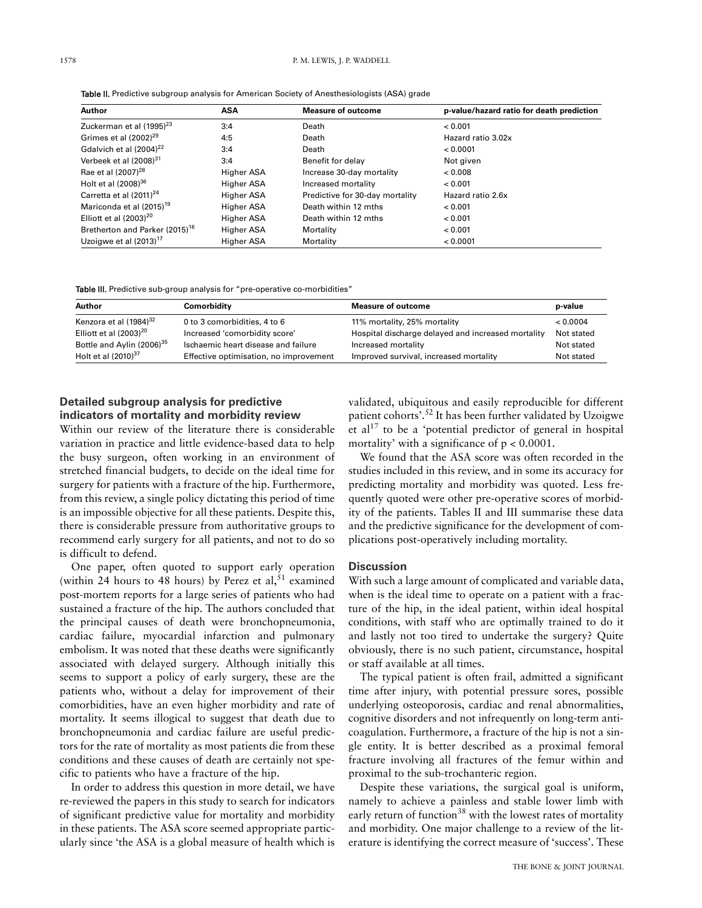| Author                                     | ASA               | <b>Measure of outcome</b>       | p-value/hazard ratio for death prediction |  |
|--------------------------------------------|-------------------|---------------------------------|-------------------------------------------|--|
| Zuckerman et al (1995) <sup>23</sup>       | 3:4               | Death                           | < 0.001                                   |  |
| Grimes et al $(2002)^{29}$                 | 4:5               | Death                           | Hazard ratio 3.02x                        |  |
| Gdalvich et al $(2004)^{22}$               | 3:4               | Death                           | < 0.0001                                  |  |
| Verbeek et al (2008) <sup>31</sup>         | 3:4               | Benefit for delay               | Not given                                 |  |
| Rae et al (2007) <sup>28</sup>             | Higher ASA        | Increase 30-day mortality       | 0.008                                     |  |
| Holt et al (2008) <sup>36</sup>            | Higher ASA        | Increased mortality             | < 0.001                                   |  |
| Carretta et al $(2011)^{24}$               | <b>Higher ASA</b> | Predictive for 30-day mortality | Hazard ratio 2.6x                         |  |
| Mariconda et al (2015) <sup>19</sup>       | <b>Higher ASA</b> | Death within 12 mths            | < 0.001                                   |  |
| Elliott et al $(2003)^{20}$                | Higher ASA        | Death within 12 mths            | < 0.001                                   |  |
| Bretherton and Parker (2015) <sup>16</sup> | Higher ASA        | Mortality                       | < 0.001                                   |  |
| Uzoigwe et al $(2013)^{17}$                | <b>Higher ASA</b> | Mortality                       | < 0.0001                                  |  |

Table II. Predictive subgroup analysis for American Society of Anesthesiologists (ASA) grade

Table III. Predictive sub-group analysis for "pre-operative co-morbidities"

| Author                                | Comorbidity                            | <b>Measure of outcome</b>                          | p-value    |
|---------------------------------------|----------------------------------------|----------------------------------------------------|------------|
| Kenzora et al (1984) <sup>32</sup>    | 0 to 3 comorbidities, 4 to 6           | 11% mortality, 25% mortality                       | < 0.0004   |
| Elliott et al $(2003)^{20}$           | Increased 'comorbidity score'          | Hospital discharge delayed and increased mortality | Not stated |
| Bottle and Aylin (2006) <sup>35</sup> | Ischaemic heart disease and failure    | Increased mortality                                | Not stated |
| Holt et al (2010) <sup>37</sup>       | Effective optimisation, no improvement | Improved survival, increased mortality             | Not stated |

# **Detailed subgroup analysis for predictive indicators of mortality and morbidity review**

Within our review of the literature there is considerable variation in practice and little evidence-based data to help the busy surgeon, often working in an environment of stretched financial budgets, to decide on the ideal time for surgery for patients with a fracture of the hip. Furthermore, from this review, a single policy dictating this period of time is an impossible objective for all these patients. Despite this, there is considerable pressure from authoritative groups to recommend early surgery for all patients, and not to do so is difficult to defend.

One paper, often quoted to support early operation (within 24 hours to 48 hours) by Perez et al,  $51$  examined post-mortem reports for a large series of patients who had sustained a fracture of the hip. The authors concluded that the principal causes of death were bronchopneumonia, cardiac failure, myocardial infarction and pulmonary embolism. It was noted that these deaths were significantly associated with delayed surgery. Although initially this seems to support a policy of early surgery, these are the patients who, without a delay for improvement of their comorbidities, have an even higher morbidity and rate of mortality. It seems illogical to suggest that death due to bronchopneumonia and cardiac failure are useful predictors for the rate of mortality as most patients die from these conditions and these causes of death are certainly not specific to patients who have a fracture of the hip.

In order to address this question in more detail, we have re-reviewed the papers in this study to search for indicators of significant predictive value for mortality and morbidity in these patients. The ASA score seemed appropriate particularly since 'the ASA is a global measure of health which is

validated, ubiquitous and easily reproducible for different patient cohorts'.52 It has been further validated by Uzoigwe et al<sup>17</sup> to be a 'potential predictor of general in hospital mortality' with a significance of  $p < 0.0001$ .

We found that the ASA score was often recorded in the studies included in this review, and in some its accuracy for predicting mortality and morbidity was quoted. Less frequently quoted were other pre-operative scores of morbidity of the patients. Tables II and III summarise these data and the predictive significance for the development of complications post-operatively including mortality.

# **Discussion**

With such a large amount of complicated and variable data, when is the ideal time to operate on a patient with a fracture of the hip, in the ideal patient, within ideal hospital conditions, with staff who are optimally trained to do it and lastly not too tired to undertake the surgery? Quite obviously, there is no such patient, circumstance, hospital or staff available at all times.

The typical patient is often frail, admitted a significant time after injury, with potential pressure sores, possible underlying osteoporosis, cardiac and renal abnormalities, cognitive disorders and not infrequently on long-term anticoagulation. Furthermore, a fracture of the hip is not a single entity. It is better described as a proximal femoral fracture involving all fractures of the femur within and proximal to the sub-trochanteric region.

Despite these variations, the surgical goal is uniform, namely to achieve a painless and stable lower limb with early return of function<sup>38</sup> with the lowest rates of mortality and morbidity. One major challenge to a review of the literature is identifying the correct measure of 'success'. These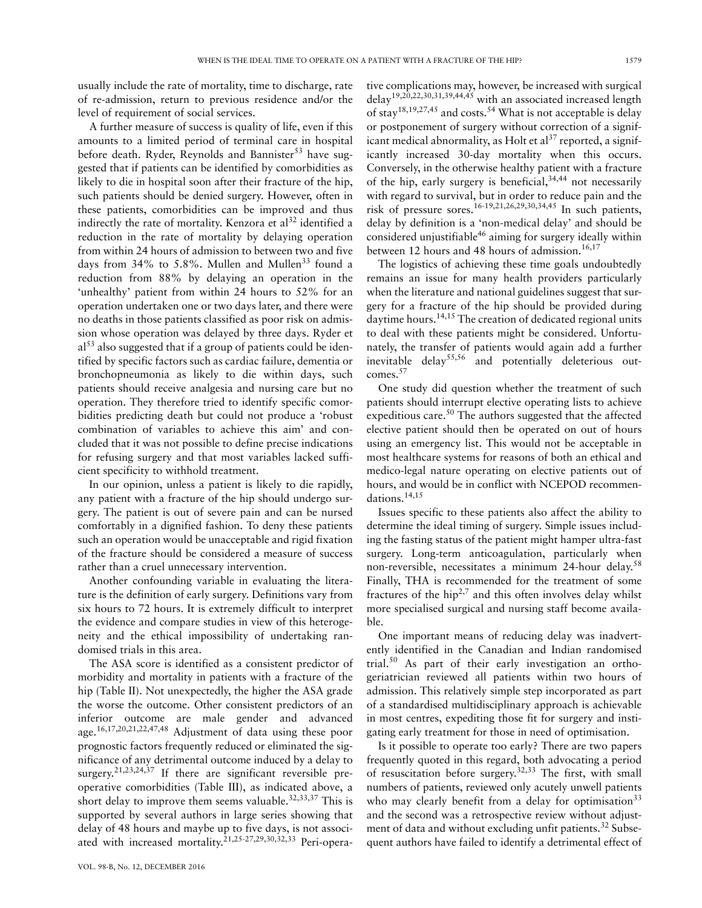usually include the rate of mortality, time to discharge, rate of re-admission, return to previous residence and/or the level of requirement of social services.

A further measure of success is quality of life, even if this amounts to a limited period of terminal care in hospital before death. Ryder, Reynolds and Bannister<sup>53</sup> have suggested that if patients can be identified by comorbidities as likely to die in hospital soon after their fracture of the hip, such patients should be denied surgery. However, often in these patients, comorbidities can be improved and thus indirectly the rate of mortality. Kenzora et al<sup>32</sup> identified a reduction in the rate of mortality by delaying operation from within 24 hours of admission to between two and five days from  $34\%$  to 5.8%. Mullen and Mullen<sup>33</sup> found a reduction from 88% by delaying an operation in the 'unhealthy' patient from within 24 hours to 52% for an operation undertaken one or two days later, and there were no deaths in those patients classified as poor risk on admission whose operation was delayed by three days. Ryder et  $a<sup>53</sup>$  also suggested that if a group of patients could be identified by specific factors such as cardiac failure, dementia or bronchopneumonia as likely to die within days, such patients should receive analgesia and nursing care but no operation. They therefore tried to identify specific comorbidities predicting death but could not produce a 'robust combination of variables to achieve this aim' and concluded that it was not possible to define precise indications for refusing surgery and that most variables lacked sufficient specificity to withhold treatment.

In our opinion, unless a patient is likely to die rapidly, any patient with a fracture of the hip should undergo surgery. The patient is out of severe pain and can be nursed comfortably in a dignified fashion. To deny these patients such an operation would be unacceptable and rigid fixation of the fracture should be considered a measure of success rather than a cruel unnecessary intervention.

Another confounding variable in evaluating the literature is the definition of early surgery. Definitions vary from six hours to 72 hours. It is extremely difficult to interpret the evidence and compare studies in view of this heterogeneity and the ethical impossibility of undertaking randomised trials in this area.

The ASA score is identified as a consistent predictor of morbidity and mortality in patients with a fracture of the hip (Table II). Not unexpectedly, the higher the ASA grade the worse the outcome. Other consistent predictors of an inferior outcome are male gender and advanced age.16,17,20,21,22,47,48 Adjustment of data using these poor prognostic factors frequently reduced or eliminated the significance of any detrimental outcome induced by a delay to surgery.<sup>21,23,24,37</sup> If there are significant reversible preoperative comorbidities (Table III), as indicated above, a short delay to improve them seems valuable.<sup>32,33,37</sup> This is supported by several authors in large series showing that delay of 48 hours and maybe up to five days, is not associated with increased mortality.<sup>21,25-27,29,30,32,33</sup> Peri-operative complications may, however, be increased with surgical delay19,20,22,30,31,39,44,45 with an associated increased length of stay<sup>18,19,27,45</sup> and costs.<sup>54</sup> What is not acceptable is delay or postponement of surgery without correction of a significant medical abnormality, as Holt et  $al^{37}$  reported, a significantly increased 30-day mortality when this occurs. Conversely, in the otherwise healthy patient with a fracture of the hip, early surgery is beneficial,  $34,444$  not necessarily with regard to survival, but in order to reduce pain and the risk of pressure sores.<sup>16-19,21,26,29,30,34,45</sup> In such patients, delay by definition is a 'non-medical delay' and should be considered unjustifiable<sup>46</sup> aiming for surgery ideally within between 12 hours and 48 hours of admission.<sup>16,17</sup>

The logistics of achieving these time goals undoubtedly remains an issue for many health providers particularly when the literature and national guidelines suggest that surgery for a fracture of the hip should be provided during daytime hours.<sup>14,15</sup> The creation of dedicated regional units to deal with these patients might be considered. Unfortunately, the transfer of patients would again add a further inevitable delay $55,56$  and potentially deleterious outcomes.57

One study did question whether the treatment of such patients should interrupt elective operating lists to achieve expeditious care.<sup>50</sup> The authors suggested that the affected elective patient should then be operated on out of hours using an emergency list. This would not be acceptable in most healthcare systems for reasons of both an ethical and medico-legal nature operating on elective patients out of hours, and would be in conflict with NCEPOD recommendations.14,15

Issues specific to these patients also affect the ability to determine the ideal timing of surgery. Simple issues including the fasting status of the patient might hamper ultra-fast surgery. Long-term anticoagulation, particularly when non-reversible, necessitates a minimum 24-hour delay.<sup>58</sup> Finally, THA is recommended for the treatment of some fractures of the hip<sup>2,7</sup> and this often involves delay whilst more specialised surgical and nursing staff become available.

One important means of reducing delay was inadvertently identified in the Canadian and Indian randomised trial.50 As part of their early investigation an orthogeriatrician reviewed all patients within two hours of admission. This relatively simple step incorporated as part of a standardised multidisciplinary approach is achievable in most centres, expediting those fit for surgery and instigating early treatment for those in need of optimisation.

Is it possible to operate too early? There are two papers frequently quoted in this regard, both advocating a period of resuscitation before surgery.32,33 The first, with small numbers of patients, reviewed only acutely unwell patients who may clearly benefit from a delay for optimisation<sup>33</sup> and the second was a retrospective review without adjustment of data and without excluding unfit patients.<sup>32</sup> Subsequent authors have failed to identify a detrimental effect of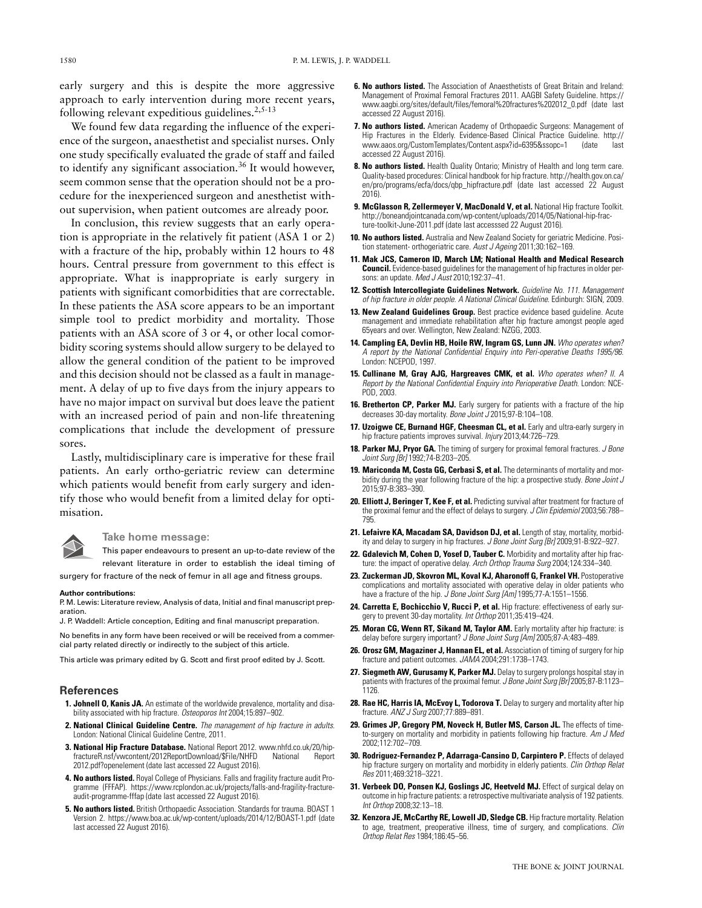early surgery and this is despite the more aggressive approach to early intervention during more recent years, following relevant expeditious guidelines.<sup>2,5-13</sup>

We found few data regarding the influence of the experience of the surgeon, anaesthetist and specialist nurses. Only one study specifically evaluated the grade of staff and failed to identify any significant association.<sup>36</sup> It would however, seem common sense that the operation should not be a procedure for the inexperienced surgeon and anesthetist without supervision, when patient outcomes are already poor.

In conclusion, this review suggests that an early operation is appropriate in the relatively fit patient (ASA 1 or 2) with a fracture of the hip, probably within 12 hours to 48 hours. Central pressure from government to this effect is appropriate. What is inappropriate is early surgery in patients with significant comorbidities that are correctable. In these patients the ASA score appears to be an important simple tool to predict morbidity and mortality. Those patients with an ASA score of 3 or 4, or other local comorbidity scoring systems should allow surgery to be delayed to allow the general condition of the patient to be improved and this decision should not be classed as a fault in management. A delay of up to five days from the injury appears to have no major impact on survival but does leave the patient with an increased period of pain and non-life threatening complications that include the development of pressure sores.

Lastly, multidisciplinary care is imperative for these frail patients. An early ortho-geriatric review can determine which patients would benefit from early surgery and identify those who would benefit from a limited delay for optimisation.

**Take home message:** 

This paper endeavours to present an up-to-date review of the relevant literature in order to establish the ideal timing of surgery for fracture of the neck of femur in all age and fitness groups.

#### **Author contributions:**

P. M. Lewis: Literature review, Analysis of data, Initial and final manuscript preparation.

J. P. Waddell: Article conception, Editing and final manuscript preparation.

No benefits in any form have been received or will be received from a commercial party related directly or indirectly to the subject of this article.

This article was primary edited by G. Scott and first proof edited by J. Scott.

#### **References**

- **1. Johnell O, Kanis JA.** An estimate of the worldwide prevalence, mortality and disability associated with hip fracture. *Osteoporos Int* 2004;15:897–902.
- **2. National Clinical Guideline Centre.** *The management of hip fracture in adults*. London: National Clinical Guideline Centre, 2011.
- **3. National Hip Fracture Database.** National Report 2012. www.nhfd.co.uk/20/hipfractureR.nsf/vwcontent/2012ReportDownload/\$File/NHFD 2012.pdf?openelement (date last accessed 22 August 2016).
- **4. No authors listed.** Royal College of Physicians. Falls and fragility fracture audit Programme (FFFAP). https://www.rcplondon.ac.uk/projects/falls-and-fragility-fractureaudit-programme-fffap (date last accessed 22 August 2016).
- **5. No authors listed.** British Orthopaedic Association. Standards for trauma. BOAST 1 Version 2. https://www.boa.ac.uk/wp-content/uploads/2014/12/BOAST-1.pdf (date last accessed 22 August 2016).
- **6. No authors listed.** The Association of Anaesthetists of Great Britain and Ireland: Management of Proximal Femoral Fractures 2011. AAGBI Safety Guideline. https:// www.aagbi.org/sites/default/files/femoral%20fractures%202012\_0.pdf (date last accessed 22 August 2016).
- **7. No authors listed.** American Academy of Orthopaedic Surgeons: Management of Hip Fractures in the Elderly. Evidence-Based Clinical Practice Guideline. http://<br>www.aaos.org/CustomTemplates/Content.aspx?id=6395&ssopc=1 (date last www.aaos.org/CustomTemplates/Content.aspx?id=6395&ssopc=1 accessed 22 August 2016).
- **8. No authors listed.** Health Quality Ontario; Ministry of Health and long term care. Quality-based procedures: Clinical handbook for hip fracture. http://health.gov.on.ca/ en/pro/programs/ecfa/docs/qbp\_hipfracture.pdf (date last accessed 22 August 2016).
- **9. McGlasson R, Zellermeyer V, MacDonald V, et al.** National Hip fracture Toolkit. http://boneandjointcanada.com/wp-content/uploads/2014/05/National-hip-fracture-toolkit-June-2011.pdf (date last accesssed 22 August 2016).
- **10. No authors listed.** Australia and New Zealand Society for geriatric Medicine. Position statement- orthogeriatric care. *Aust J Ageing* 2011;30:162–169.
- **11. Mak JCS, Cameron ID, March LM; National Health and Medical Research Council.** Evidence-based guidelines for the management of hip fractures in older persons: an update. *Med J Aust* 2010;192:37–41.
- **12. Scottish Intercollegiate Guidelines Network.** *Guideline No. 111. Management of hip fracture in older people. A National Clinical Guideline*. Edinburgh: SIGN, 2009.
- **13. New Zealand Guidelines Group.** Best practice evidence based guideline. Acute management and immediate rehabilitation after hip fracture amongst people aged 65years and over. Wellington, New Zealand: NZGG, 2003.
- **14. Campling EA, Devlin HB, Hoile RW, Ingram GS, Lunn JN.** *Who operates when? A report by the National Confidential Enquiry into Peri-operative Deaths 1995/96*. London: NCEPOD, 1997.
- **15. Cullinane M, Gray AJG, Hargreaves CMK, et al.** *Who operates when? II. A Report by the National Confidential Enquiry into Perioperative Death*. London: NCE-POD, 2003.
- 16. Bretherton CP, Parker MJ. Early surgery for patients with a fracture of the hip decreases 30-day mortality. *Bone Joint J* 2015;97-B:104–108.
- 17. Uzoigwe CE, Burnand HGF, Cheesman CL, et al. Early and ultra-early surgery in hip fracture patients improves survival. *Injury* 2013;44:726–729.
- **18. Parker MJ, Pryor GA.** The timing of surgery for proximal femoral fractures. *J Bone Joint Surg [Br]* 1992;74-B:203–205.
- **19. Mariconda M, Costa GG, Cerbasi S, et al.** The determinants of mortality and morbidity during the year following fracture of the hip: a prospective study. *Bone Joint J* 2015;97-B:383–390.
- 20. Elliott J, Beringer T, Kee F, et al. Predicting survival after treatment for fracture of the proximal femur and the effect of delays to surgery. *J Clin Epidemiol* 2003;56:788– 795.
- **21. Lefaivre KA, Macadam SA, Davidson DJ, et al.** Length of stay, mortality, morbidity and delay to surgery in hip fractures. *J Bone Joint Surg [Br]* 2009;91-B:922–927.
- **22. Gdalevich M, Cohen D, Yosef D, Tauber C.** Morbidity and mortality after hip fracture: the impact of operative delay. *Arch Orthop Trauma Surg* 2004;124:334–340.
- **23. Zuckerman JD, Skovron ML, Koval KJ, Aharonoff G, Frankel VH.** Postoperative complications and mortality associated with operative delay in older patients who have a fracture of the hip. *J Bone Joint Surg [Am]* 1995;77-A:1551–1556.
- **24. Carretta E, Bochicchio V, Rucci P, et al.** Hip fracture: effectiveness of early surgery to prevent 30-day mortality. *Int Orthop* 2011;35:419–424.
- **25. Moran CG, Wenn RT, Sikand M, Taylor AM.** Early mortality after hip fracture: is delay before surgery important? *J Bone Joint Surg [Am]* 2005;87-A:483–489.
- **26. Orosz GM, Magaziner J, Hannan EL, et al.** Association of timing of surgery for hip fracture and patient outcomes. *JAMA* 2004;291:1738–1743.
- **27. Siegmeth AW, Gurusamy K, Parker MJ.** Delay to surgery prolongs hospital stay in patients with fractures of the proximal femur. *J Bone Joint Surg [Br]* 2005;87-B:1123– 1126.
- **28. Rae HC, Harris IA, McEvoy L, Todorova T.** Delay to surgery and mortality after hip fracture. *ANZ J Surg* 2007;77:889–891.
- **29. Grimes JP, Gregory PM, Noveck H, Butler MS, Carson JL.** The effects of timeto-surgery on mortality and morbidity in patients following hip fracture. *Am J Med* 2002;112:702–709.
- **30. Rodriguez-Fernandez P, Adarraga-Cansino D, Carpintero P.** Effects of delayed hip fracture surgery on mortality and morbidity in elderly patients. *Clin Orthop Relat Res* 2011;469:3218–3221.
- **31. Verbeek DO, Ponsen KJ, Goslings JC, Heetveld MJ.** Effect of surgical delay on outcome in hip fracture patients: a retrospective multivariate analysis of 192 patients. *Int Orthop* 2008;32:13–18.
- **32. Kenzora JE, McCarthy RE, Lowell JD, Sledge CB.** Hip fracture mortality. Relation to age, treatment, preoperative illness, time of surgery, and complications. *Clin Orthop Relat Res* 1984;186:45–56.